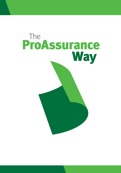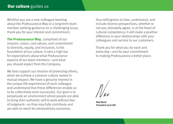Whether you are a new colleague learning about the ProAssurance Way or a long-term team member seeking guidance on a challenging issue, thank you for your interest and commitment.

The ProAssurance Way, comprised of our mission, vision, core values, and commitment to diversity, equity, and inclusion, is the foundation of our culture. It sets a high bar for expectations about what ProAssurance expects of our team members—and what you should expect from the Company.

We best support our mission of protecting others, when we achieve a common culture rooted in mutual respect. We have a genuine interest in the unique life experiences of each colleague and understand that these differences enable us to be collectively more successful. Our goal is to perpetuate an environment where people are able to bring their authentic self to work without fear of judgment—so they may fully contribute and are able to reach for extraordinary outcomes.

Your willingness to hear, understand, and include diverse perspectives, whether or not you ultimately agree, is at the heart of cultural competency; it will make a positive difference in your relationships with your colleagues and service to our customers.

Thank you for what you do each and every day—and for your commitment to making ProAssurance a better place.

*Ned Rand President and CEO*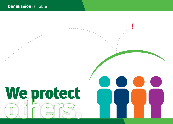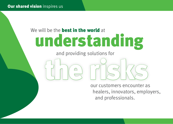## understanding We will be the **best in the world** at

and providing solutions for

our customers encounter as healers, innovators, employers, and professionals. the risk-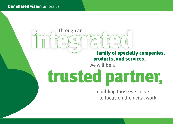## family of specialty companies, products, and services, and Through an discreding the Contractor of special ran in the special ran in the special ran in the special ran in the special ran in the special ran in the special ran in the special ran in the special ran in the special

we will be a

## trusted partner,

enabling those we serve to focus on their vital work.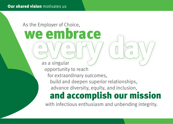#### As the Employer of Choice,

# we embrace<br> **every day of the COV**

opportunity to reach for extraordinary outcomes,

build and deepen superior relationships, advance diversity, equity, and inclusion,

## and accomplish our mission

with infectious enthusiasm and unbending integrity.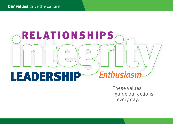## Leadership *Enthusiasm* RELATIONSHIPS

These values guide our actions every day.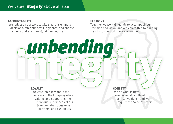#### ACCOUNTABILITY

We reflect on our words, take smart risks, make decisions, offer our best judgments, and choose actions that are honest, fair, and ethical.

#### HARMONY

Together we work diligently to accomplish our mission and vision and are committed to building an inclusive workplace environment.

#### LOYALTY

We care intensely about the success of the Company while valuing and supporting the individual differences of our team members, business partners, and customers.

unbending

**HONESTY** 

We do what is right, even when it is difficult or inconvenient—and we require the same of others.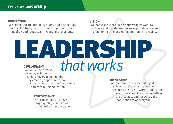#### INSPIRATION

We communicate our ideas clearly and respectfully to develop trust, create a sense of purpose, and inspire continuous learning and improvement.

#### VISION

We possess a clear idea about what we want to achieve and can determine an appropriate course of action to translate our aspirations into reality.

#### EAI DERSH that works DEVELOPMENT We value the diverse

talents, abilities, and skills of every team member by creating opportunities for advancement and offering training and continuing education.

#### PERFORMANCE

We consistently achieve high-quality results and help others do the same.

#### OWNERSHIP

We empower decision-making at all levels of the organization, are responsible for our words and actions, take ownership of results regardless of outcomes, and recognize the contributions of everyone.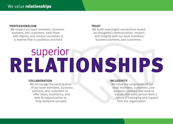#### PROFESSIONALISM

We respect our team members, business partners, and customers, treat them with dignity, and conduct ourselves in a manner that is courteous and kind.

#### **TRUST**

We build meaningful connections based on thoughtful communication, respect, and integrity with our team members, business partners, and customers.

## superior RELATIONSHIPS

#### COLLABORATION

We encourage the participation of our team members, business partners, and customers to offer ideas, assistance, and look for opportunities to help everyone succeed.

#### INCLUSIVITY

We value the uniqueness of our team members, customers, and business partners and work to ensure that every person feels a sense of belonging and support from the organization.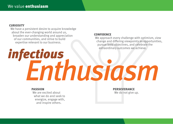#### **CURIOSITY**

We have a persistent desire to acquire knowledge about the ever-changing world around us, broaden our understanding and appreciation of our communities, and strive to build expertise relevant to our business.

#### CONFIDENCE

We approach every challenge with optimism, view change and differing viewpoints as opportunities, pursue bold objectives, and celebrate the extraordinary outcomes we achieve.

## *infectious* Enthusiasm

#### PASSION

We are excited about what we do and seek to energize, engage with, and inspire others.

**PERSEVERANCE** We do not give up.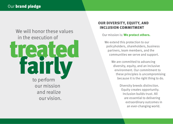

#### OUR DIVERSITY, EQUITY, AND INCLUSION COMMITMENT

#### Our mission is: We protect others.

We extend this protection to our policyholders, shareholders, business partners, team members, and the communities we serve and support.

> We are committed to advancing diversity, equity, and an inclusive environment. Our commitment to these principles is uncompromising because it is the right thing to do.

> > Diversity breeds distinction. Equity creates opportunity. Inclusion builds trust. All are essential to delivering extraordinary outcomes in an ever-changing world.